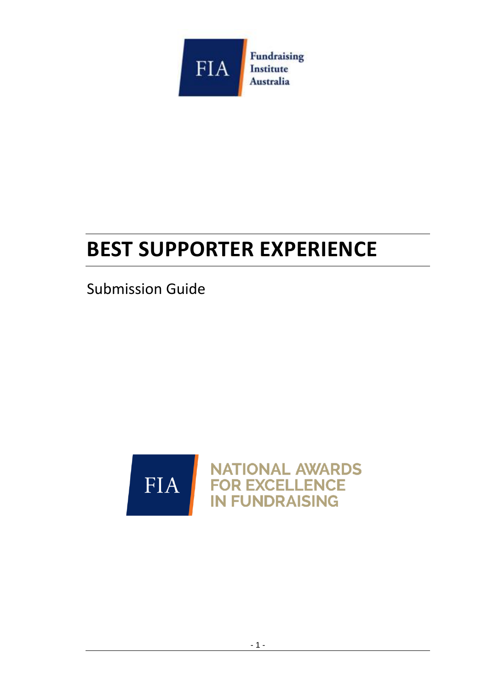

# **BEST SUPPORTER EXPERIENCE**

Submission Guide

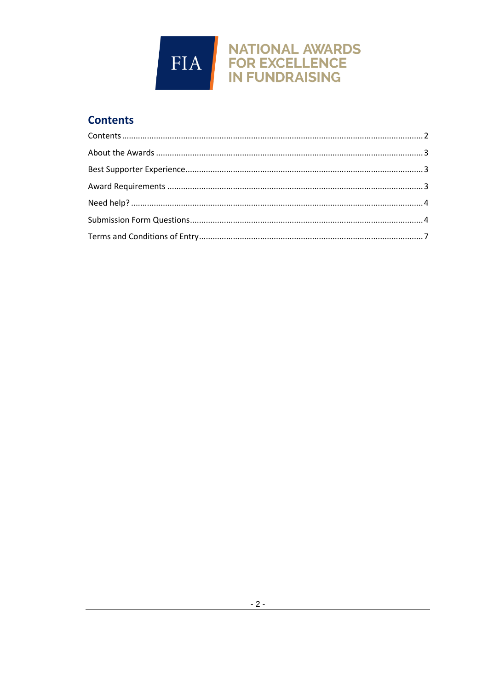

# <span id="page-1-0"></span>**Contents**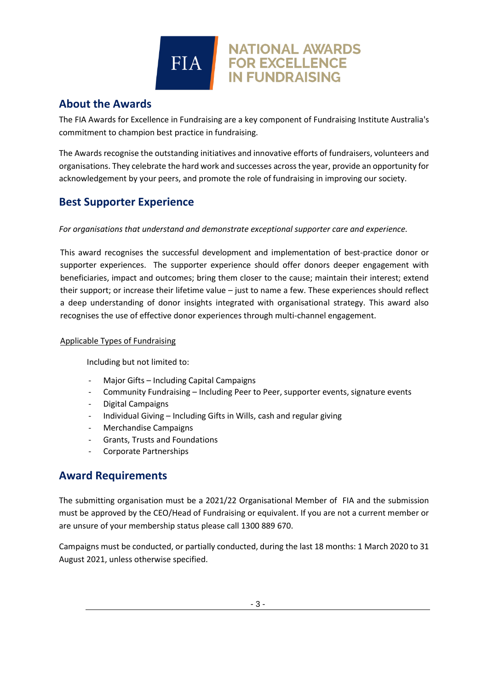# **FIA**

# <span id="page-2-0"></span>**About the Awards**

The FIA Awards for Excellence in Fundraising are a key component of Fundraising Institute Australia's commitment to champion best practice in fundraising.

**NATIONAL AWARDS** 

**FOR EXCELLENCE IN FUNDRAISING** 

The Awards recognise the outstanding initiatives and innovative efforts of fundraisers, volunteers and organisations. They celebrate the hard work and successes across the year, provide an opportunity for acknowledgement by your peers, and promote the role of fundraising in improving our society.

# <span id="page-2-1"></span>**Best Supporter Experience**

*For organisations that understand and demonstrate exceptional supporter care and experience.* 

This award recognises the successful development and implementation of best-practice donor or supporter experiences. The supporter experience should offer donors deeper engagement with beneficiaries, impact and outcomes; bring them closer to the cause; maintain their interest; extend their support; or increase their lifetime value – just to name a few. These experiences should reflect a deep understanding of donor insights integrated with organisational strategy. This award also recognises the use of effective donor experiences through multi-channel engagement.

#### Applicable Types of Fundraising

Including but not limited to:

- Major Gifts Including Capital Campaigns
- Community Fundraising Including Peer to Peer, supporter events, signature events
- Digital Campaigns
- Individual Giving Including Gifts in Wills, cash and regular giving
- Merchandise Campaigns
- Grants, Trusts and Foundations
- Corporate Partnerships

## <span id="page-2-2"></span>**Award Requirements**

The submitting organisation must be a 2021/22 Organisational Member of FIA and the submission must be approved by the CEO/Head of Fundraising or equivalent. If you are not a current member or are unsure of your membership status please call 1300 889 670.

Campaigns must be conducted, or partially conducted, during the last 18 months: 1 March 2020 to 31 August 2021, unless otherwise specified.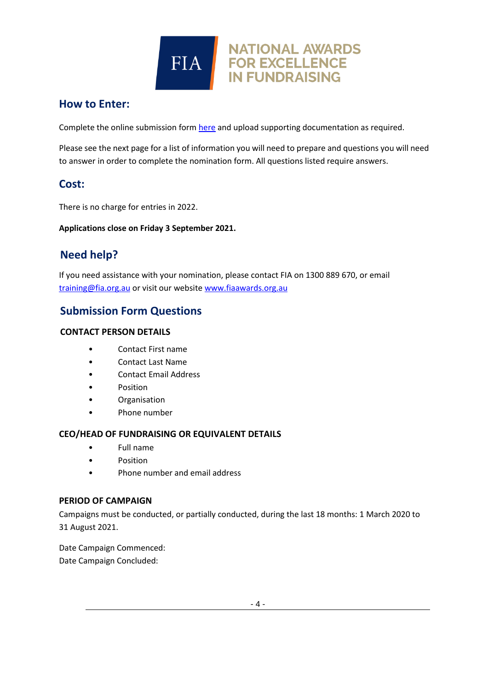

## **How to Enter:**

Complete the online submission form [here](https://fia.awardsplatform.com/) and upload supporting documentation as required.

Please see the next page for a list of information you will need to prepare and questions you will need to answer in order to complete the nomination form. All questions listed require answers.

## **Cost:**

There is no charge for entries in 2022.

**Applications close on Friday 3 September 2021.**

# <span id="page-3-0"></span>**Need help?**

If you need assistance with your nomination, please contact FIA on 1300 889 670, or email [training@fia.org.au](mailto:training@fia.org.au) or visit our websit[e www.fiaawards.org.au](http://www.fiaawards.org.au/)

# <span id="page-3-1"></span>**Submission Form Questions**

#### **CONTACT PERSON DETAILS**

- Contact First name
- Contact Last Name
- Contact Email Address
- Position
- Organisation
- Phone number

#### **CEO/HEAD OF FUNDRAISING OR EQUIVALENT DETAILS**

- Full name
- **Position**
- Phone number and email address

#### **PERIOD OF CAMPAIGN**

Campaigns must be conducted, or partially conducted, during the last 18 months: 1 March 2020 to 31 August 2021.

Date Campaign Commenced: Date Campaign Concluded: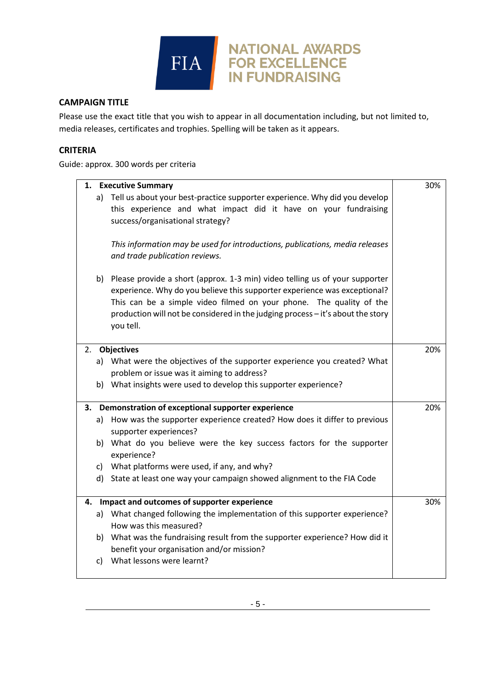

#### **CAMPAIGN TITLE**

Please use the exact title that you wish to appear in all documentation including, but not limited to, media releases, certificates and trophies. Spelling will be taken as it appears.

#### **CRITERIA**

Guide: approx. 300 words per criteria

|    | 1. Executive Summary                                                            | 30% |
|----|---------------------------------------------------------------------------------|-----|
|    | a) Tell us about your best-practice supporter experience. Why did you develop   |     |
|    | this experience and what impact did it have on your fundraising                 |     |
|    | success/organisational strategy?                                                |     |
|    |                                                                                 |     |
|    | This information may be used for introductions, publications, media releases    |     |
|    | and trade publication reviews.                                                  |     |
|    | b) Please provide a short (approx. 1-3 min) video telling us of your supporter  |     |
|    | experience. Why do you believe this supporter experience was exceptional?       |     |
|    | This can be a simple video filmed on your phone. The quality of the             |     |
|    | production will not be considered in the judging process - it's about the story |     |
|    | you tell.                                                                       |     |
|    |                                                                                 |     |
|    | 2. Objectives                                                                   | 20% |
|    | a) What were the objectives of the supporter experience you created? What       |     |
|    | problem or issue was it aiming to address?                                      |     |
|    | b) What insights were used to develop this supporter experience?                |     |
|    |                                                                                 |     |
|    | 3. Demonstration of exceptional supporter experience                            | 20% |
|    | How was the supporter experience created? How does it differ to previous<br>a)  |     |
|    | supporter experiences?                                                          |     |
|    | b) What do you believe were the key success factors for the supporter           |     |
|    | experience?                                                                     |     |
|    | c) What platforms were used, if any, and why?                                   |     |
|    | d) State at least one way your campaign showed alignment to the FIA Code        |     |
|    |                                                                                 |     |
|    | 4. Impact and outcomes of supporter experience                                  | 30% |
|    | a) What changed following the implementation of this supporter experience?      |     |
|    | How was this measured?                                                          |     |
|    | b) What was the fundraising result from the supporter experience? How did it    |     |
|    | benefit your organisation and/or mission?                                       |     |
| c) | What lessons were learnt?                                                       |     |
|    |                                                                                 |     |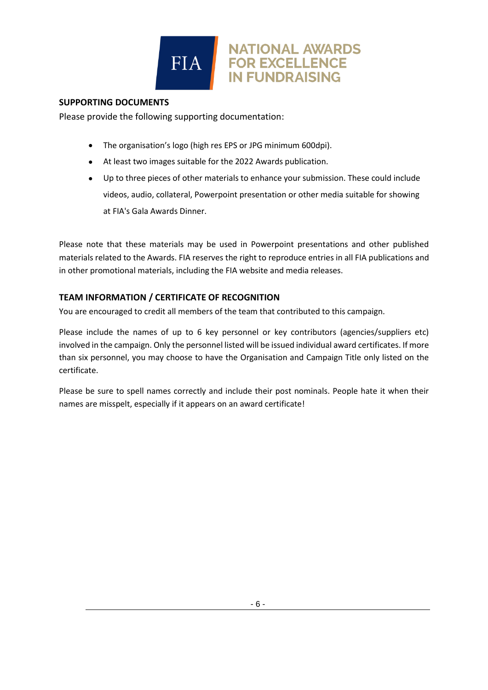

#### **SUPPORTING DOCUMENTS**

Please provide the following supporting documentation:

- The organisation's logo (high res EPS or JPG minimum 600dpi).
- At least two images suitable for the 2022 Awards publication.
- Up to three pieces of other materials to enhance your submission. These could include videos, audio, collateral, Powerpoint presentation or other media suitable for showing at FIA's Gala Awards Dinner.

**NATIONAL AWARDS** 

**FOR EXCELLENCE IN FUNDRAISING** 

Please note that these materials may be used in Powerpoint presentations and other published materials related to the Awards. FIA reserves the right to reproduce entries in all FIA publications and in other promotional materials, including the FIA website and media releases.

#### **TEAM INFORMATION / CERTIFICATE OF RECOGNITION**

You are encouraged to credit all members of the team that contributed to this campaign.

Please include the names of up to 6 key personnel or key contributors (agencies/suppliers etc) involved in the campaign. Only the personnel listed will be issued individual award certificates. If more than six personnel, you may choose to have the Organisation and Campaign Title only listed on the certificate.

Please be sure to spell names correctly and include their post nominals. People hate it when their names are misspelt, especially if it appears on an award certificate!